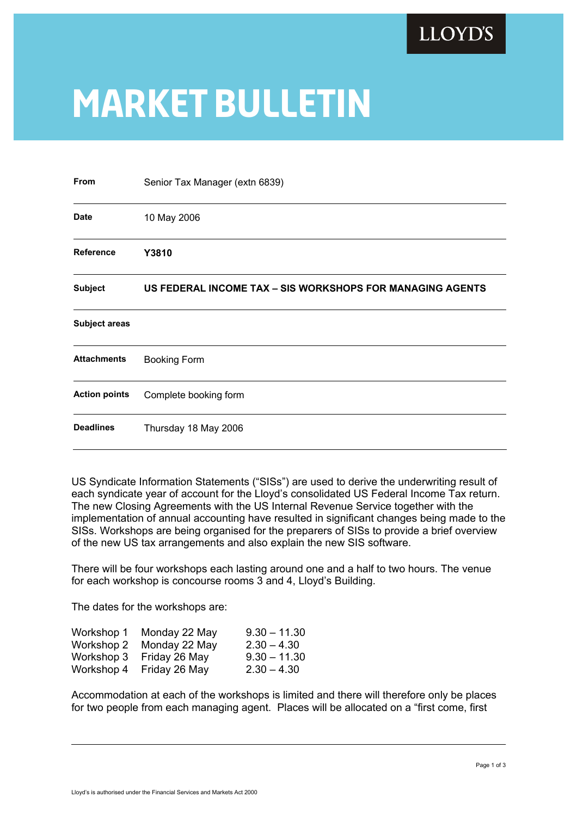

## **market bulletin**

| From                                                                        | Senior Tax Manager (extn 6839) |  |  |  |  |
|-----------------------------------------------------------------------------|--------------------------------|--|--|--|--|
| <b>Date</b>                                                                 | 10 May 2006                    |  |  |  |  |
| <b>Reference</b>                                                            | Y3810                          |  |  |  |  |
| <b>Subject</b><br>US FEDERAL INCOME TAX - SIS WORKSHOPS FOR MANAGING AGENTS |                                |  |  |  |  |
| <b>Subject areas</b>                                                        |                                |  |  |  |  |
| <b>Attachments</b>                                                          | <b>Booking Form</b>            |  |  |  |  |
| <b>Action points</b>                                                        | Complete booking form          |  |  |  |  |
| <b>Deadlines</b>                                                            | Thursday 18 May 2006           |  |  |  |  |

US Syndicate Information Statements ("SISs") are used to derive the underwriting result of each syndicate year of account for the Lloyd's consolidated US Federal Income Tax return. The new Closing Agreements with the US Internal Revenue Service together with the implementation of annual accounting have resulted in significant changes being made to the SISs. Workshops are being organised for the preparers of SISs to provide a brief overview of the new US tax arrangements and also explain the new SIS software.

 There will be four workshops each lasting around one and a half to two hours. The venue for each workshop is concourse rooms 3 and 4, Lloyd's Building.

The dates for the workshops are:

| Workshop 1 | Monday 22 May | $9.30 - 11.30$ |
|------------|---------------|----------------|
| Workshop 2 | Monday 22 May | $2.30 - 4.30$  |
| Workshop 3 | Friday 26 May | $9.30 - 11.30$ |
| Workshop 4 | Friday 26 May | $2.30 - 4.30$  |

 Accommodation at each of the workshops is limited and there will therefore only be places for two people from each managing agent. Places will be allocated on a "first come, first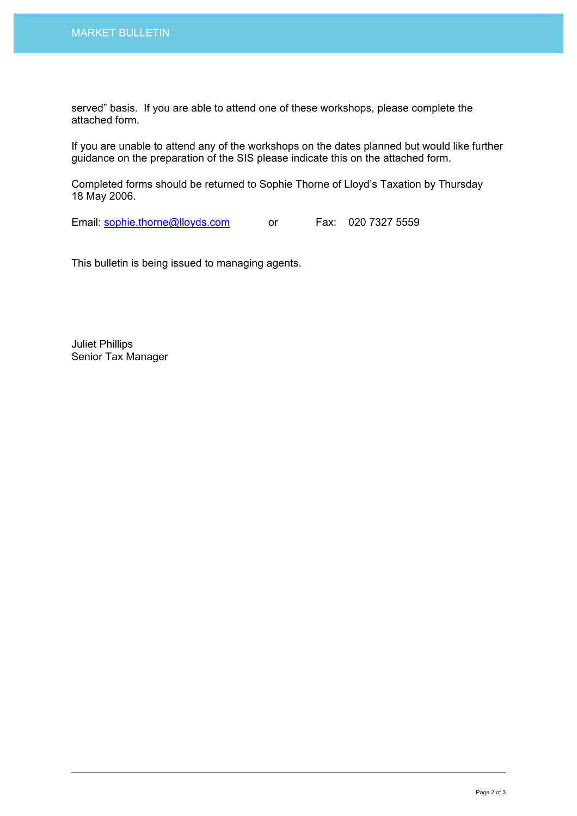served" basis. If you are able to attend one of these workshops, please complete the attached form.

 If you are unable to attend any of the workshops on the dates planned but would like further guidance on the preparation of the SIS please indicate this on the attached form.

 Completed forms should be returned to Sophie Thorne of Lloyd's Taxation by Thursday 18 May 2006.

Email: sophie.thorne@lloyds.com or Fax: 020 7327 5559

This bulletin is being issued to managing agents.

Juliet Phillips Senior Tax Manager